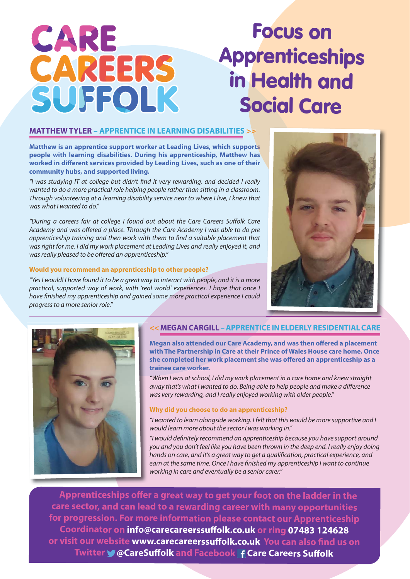# **Focus on<br>Prenticesh<br>Health ar<br>pocial Care<br>and are profit and are all the profit of a profit and are all that are all the set of a profit and are all the set of a profit and are all the set of a profit and are all the set Apprenticeships in Health and Social Care**

# **MATTHEW TYLER – APPRENTICE IN LEARNING DISABILITIES >>**

**Matthew is an apprentice support worker at Leading Lives, which supports people with learning disabilities. During his apprenticeship, Matthew has**  worked in different services provided by Leading Lives, such as one of their **community hubs, and supported living.**

"I was studying IT at college but didn't find it very rewarding, and decided I really wanted to do a more practical role helping people rather than sitting in a classroom. Through volunteering at a learning disability service near to where I live, I knew that was what I wanted to do."

"During a careers fair at college I found out about the Care Careers Suffolk Care Academy and was offered a place. Through the Care Academy I was able to do pre apprenticeship training and then work with them to find a suitable placement that was right for me. I did my work placement at Leading Lives and really enjoyed it, and was really pleased to be offered an apprenticeship."

#### **Would you recommend an apprenticeship to other people?**

"Yes I would! I have found it to be a great way to interact with people, and it is a more practical, supported way of work, with 'real world' experiences. I hope that once I have finished my apprenticeship and gained some more practical experience I could progress to a more senior role."





CARE

CAREERS

SUFFOLK

# **<< MEGAN CARGILL – APPRENTICE IN ELDERLY RESIDENTIAL CARE**

**Megan also attended our Care Academy, and was then offered a placement with The Partnership in Care at their Prince of Wales House care home. Once**  she completed her work placement she was offered an apprenticeship as a **trainee care worker.**

"When I was at school, I did my work placement in a care home and knew straight away that's what I wanted to do. Being able to help people and make a difference was very rewarding, and I really enjoyed working with older people."

### **Why did you choose to do an apprenticeship?**

"I wanted to learn alongside working. I felt that this would be more supportive and I would learn more about the sector I was working in."

"I would definitely recommend an apprenticeship because you have support around you and you don't feel like you have been thrown in the deep end. I really enjoy doing hands on care, and it's a great way to get a qualification, practical experience, and earn at the same time. Once I have finished my apprenticeship I want to continue working in care and eventually be a senior carer."

Apprenticeships offer a great way to get your foot on the ladder in the **care sector, and can lead to a rewarding career with many opportunities for progression. For more information please contact our Apprenticeship Coordinator on info@carecareerssuff olk.co.uk or ring 07483 124628 or visit our website www.carecareerssuffolk.co.uk You can also find us on Twitter W@CareSuffolk and Facebook F Care Careers Suffolk**